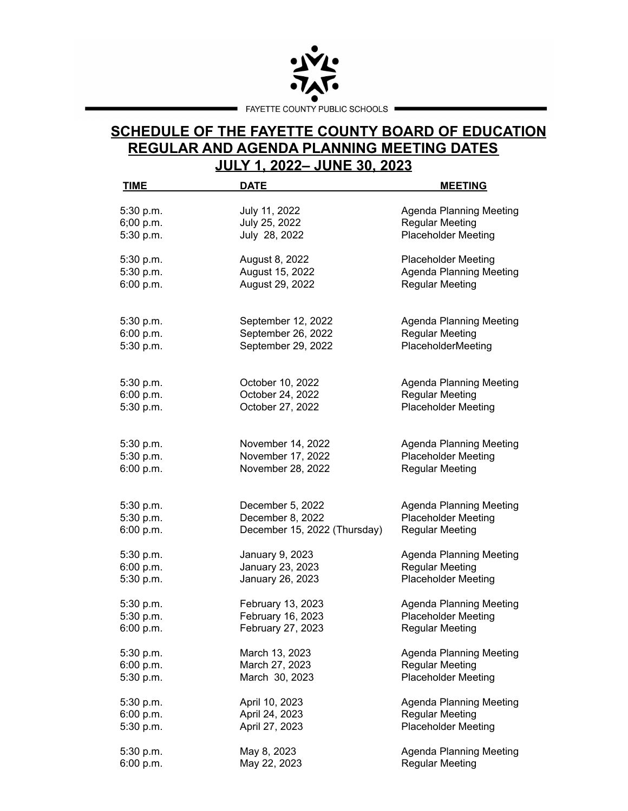

## **SCHEDULE OF THE FAYETTE COUNTY BOARD OF EDUCATION REGULAR AND AGENDA PLANNING MEETING DATES JULY 1, 2022– JUNE 30, 2023**

| <b>TIME</b> | <b>DATE</b>                  | <b>MEETING</b>                 |
|-------------|------------------------------|--------------------------------|
| 5:30 p.m.   | July 11, 2022                | <b>Agenda Planning Meeting</b> |
| 6;00 p.m.   | July 25, 2022                | <b>Regular Meeting</b>         |
| 5:30 p.m.   | July 28, 2022                | <b>Placeholder Meeting</b>     |
| 5:30 p.m.   | August 8, 2022               | <b>Placeholder Meeting</b>     |
| 5:30 p.m.   | August 15, 2022              | <b>Agenda Planning Meeting</b> |
| 6:00 p.m.   | August 29, 2022              | <b>Regular Meeting</b>         |
| 5:30 p.m.   | September 12, 2022           | <b>Agenda Planning Meeting</b> |
| 6:00 p.m.   | September 26, 2022           | <b>Regular Meeting</b>         |
| 5:30 p.m.   | September 29, 2022           | PlaceholderMeeting             |
| 5:30 p.m.   | October 10, 2022             | <b>Agenda Planning Meeting</b> |
| 6:00 p.m.   | October 24, 2022             | <b>Regular Meeting</b>         |
| 5:30 p.m.   | October 27, 2022             | <b>Placeholder Meeting</b>     |
| 5:30 p.m.   | November 14, 2022            | <b>Agenda Planning Meeting</b> |
| 5:30 p.m.   | November 17, 2022            | <b>Placeholder Meeting</b>     |
| 6:00 p.m.   | November 28, 2022            | <b>Regular Meeting</b>         |
| 5:30 p.m.   | December 5, 2022             | <b>Agenda Planning Meeting</b> |
| 5:30 p.m.   | December 8, 2022             | <b>Placeholder Meeting</b>     |
| 6:00 p.m.   | December 15, 2022 (Thursday) | <b>Regular Meeting</b>         |
| 5:30 p.m.   | January 9, 2023              | <b>Agenda Planning Meeting</b> |
| 6:00 p.m.   | January 23, 2023             | <b>Regular Meeting</b>         |
| 5:30 p.m.   | January 26, 2023             | <b>Placeholder Meeting</b>     |
| 5:30 p.m.   | February 13, 2023            | <b>Agenda Planning Meeting</b> |
| 5:30 p.m.   | February 16, 2023            | <b>Placeholder Meeting</b>     |
| 6:00 p.m.   | February 27, 2023            | <b>Regular Meeting</b>         |
| 5:30 p.m.   | March 13, 2023               | <b>Agenda Planning Meeting</b> |
| 6:00 p.m.   | March 27, 2023               | <b>Regular Meeting</b>         |
| 5:30 p.m.   | March 30, 2023               | <b>Placeholder Meeting</b>     |
| 5:30 p.m.   | April 10, 2023               | <b>Agenda Planning Meeting</b> |
| 6:00 p.m.   | April 24, 2023               | <b>Regular Meeting</b>         |
| 5:30 p.m.   | April 27, 2023               | <b>Placeholder Meeting</b>     |
| 5:30 p.m.   | May 8, 2023                  | <b>Agenda Planning Meeting</b> |
| 6:00 p.m.   | May 22, 2023                 | <b>Regular Meeting</b>         |